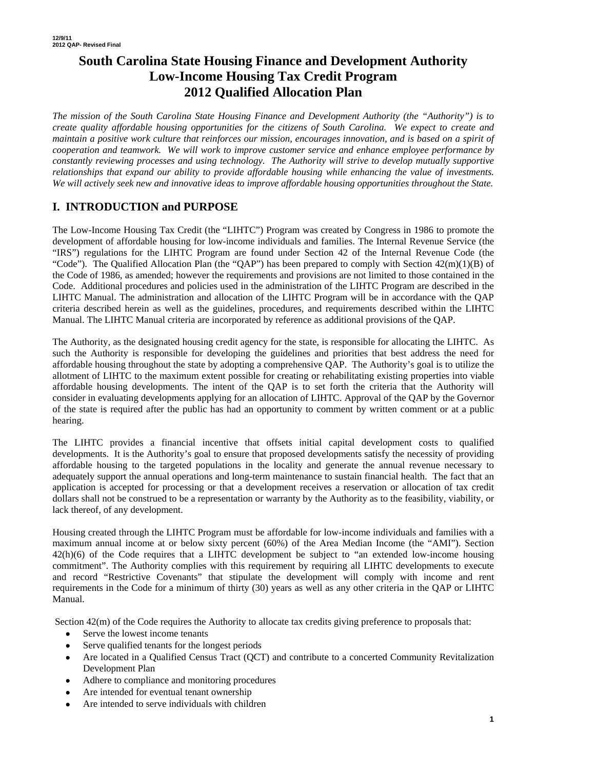# **South Carolina State Housing Finance and Development Authority Low-Income Housing Tax Credit Program 2012 Qualified Allocation Plan**

*The mission of the South Carolina State Housing Finance and Development Authority (the "Authority") is to create quality affordable housing opportunities for the citizens of South Carolina. We expect to create and maintain a positive work culture that reinforces our mission, encourages innovation, and is based on a spirit of cooperation and teamwork. We will work to improve customer service and enhance employee performance by constantly reviewing processes and using technology. The Authority will strive to develop mutually supportive relationships that expand our ability to provide affordable housing while enhancing the value of investments. We will actively seek new and innovative ideas to improve affordable housing opportunities throughout the State.* 

# **I. INTRODUCTION and PURPOSE**

The Low-Income Housing Tax Credit (the "LIHTC") Program was created by Congress in 1986 to promote the development of affordable housing for low-income individuals and families. The Internal Revenue Service (the "IRS") regulations for the LIHTC Program are found under Section 42 of the Internal Revenue Code (the "Code"). The Qualified Allocation Plan (the "QAP") has been prepared to comply with Section  $42(m)(1)(B)$  of the Code of 1986, as amended; however the requirements and provisions are not limited to those contained in the Code. Additional procedures and policies used in the administration of the LIHTC Program are described in the LIHTC Manual. The administration and allocation of the LIHTC Program will be in accordance with the QAP criteria described herein as well as the guidelines, procedures, and requirements described within the LIHTC Manual. The LIHTC Manual criteria are incorporated by reference as additional provisions of the QAP.

The Authority, as the designated housing credit agency for the state, is responsible for allocating the LIHTC. As such the Authority is responsible for developing the guidelines and priorities that best address the need for affordable housing throughout the state by adopting a comprehensive QAP. The Authority's goal is to utilize the allotment of LIHTC to the maximum extent possible for creating or rehabilitating existing properties into viable affordable housing developments. The intent of the QAP is to set forth the criteria that the Authority will consider in evaluating developments applying for an allocation of LIHTC. Approval of the QAP by the Governor of the state is required after the public has had an opportunity to comment by written comment or at a public hearing.

The LIHTC provides a financial incentive that offsets initial capital development costs to qualified developments. It is the Authority's goal to ensure that proposed developments satisfy the necessity of providing affordable housing to the targeted populations in the locality and generate the annual revenue necessary to adequately support the annual operations and long-term maintenance to sustain financial health. The fact that an application is accepted for processing or that a development receives a reservation or allocation of tax credit dollars shall not be construed to be a representation or warranty by the Authority as to the feasibility, viability, or lack thereof, of any development.

Housing created through the LIHTC Program must be affordable for low-income individuals and families with a maximum annual income at or below sixty percent (60%) of the Area Median Income (the "AMI"). Section 42(h)(6) of the Code requires that a LIHTC development be subject to "an extended low-income housing commitment". The Authority complies with this requirement by requiring all LIHTC developments to execute and record "Restrictive Covenants" that stipulate the development will comply with income and rent requirements in the Code for a minimum of thirty (30) years as well as any other criteria in the QAP or LIHTC Manual.

Section  $42(m)$  of the Code requires the Authority to allocate tax credits giving preference to proposals that:

- Serve the lowest income tenants
- Serve qualified tenants for the longest periods
- Are located in a Qualified Census Tract (QCT) and contribute to a concerted Community Revitalization Development Plan
- Adhere to compliance and monitoring procedures
- Are intended for eventual tenant ownership
- Are intended to serve individuals with children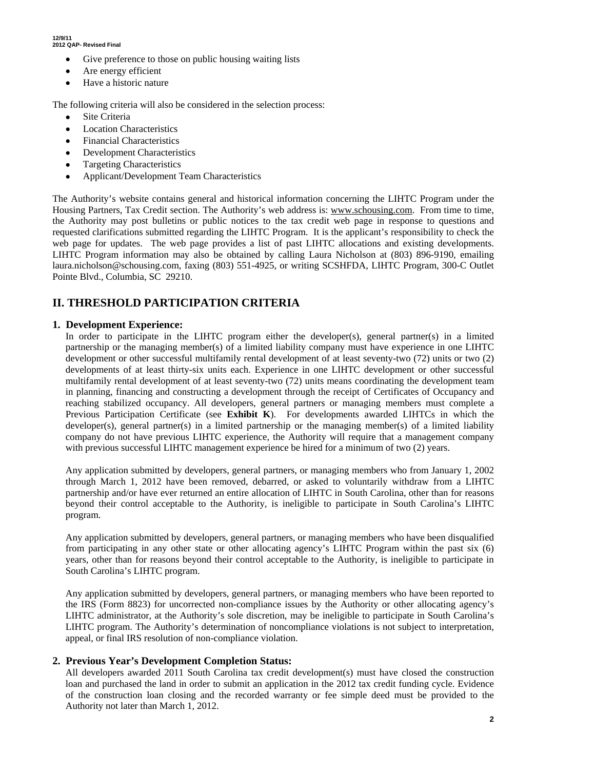- Give preference to those on public housing waiting lists
- Are energy efficient
- Have a historic nature

The following criteria will also be considered in the selection process:

- Site Criteria
- **Location Characteristics**
- Financial Characteristics
- **Development Characteristics**
- Targeting Characteristics
- Applicant/Development Team Characteristics

The Authority's website contains general and historical information concerning the LIHTC Program under the Housing Partners, Tax Credit section. The Authority's web address is: www.schousing.com. From time to time, the Authority may post bulletins or public notices to the tax credit web page in response to questions and requested clarifications submitted regarding the LIHTC Program. It is the applicant's responsibility to check the web page for updates. The web page provides a list of past LIHTC allocations and existing developments. LIHTC Program information may also be obtained by calling Laura Nicholson at (803) 896-9190, emailing laura.nicholson@schousing.com, faxing (803) 551-4925, or writing SCSHFDA, LIHTC Program, 300-C Outlet Pointe Blvd., Columbia, SC 29210.

# **II. THRESHOLD PARTICIPATION CRITERIA**

#### **1. Development Experience:**

In order to participate in the LIHTC program either the developer(s), general partner(s) in a limited partnership or the managing member(s) of a limited liability company must have experience in one LIHTC development or other successful multifamily rental development of at least seventy-two (72) units or two (2) developments of at least thirty-six units each. Experience in one LIHTC development or other successful multifamily rental development of at least seventy-two (72) units means coordinating the development team in planning, financing and constructing a development through the receipt of Certificates of Occupancy and reaching stabilized occupancy. All developers, general partners or managing members must complete a Previous Participation Certificate (see **Exhibit K**). For developments awarded LIHTCs in which the developer(s), general partner(s) in a limited partnership or the managing member(s) of a limited liability company do not have previous LIHTC experience, the Authority will require that a management company with previous successful LIHTC management experience be hired for a minimum of two (2) years.

Any application submitted by developers, general partners, or managing members who from January 1, 2002 through March 1, 2012 have been removed, debarred, or asked to voluntarily withdraw from a LIHTC partnership and/or have ever returned an entire allocation of LIHTC in South Carolina, other than for reasons beyond their control acceptable to the Authority, is ineligible to participate in South Carolina's LIHTC program.

Any application submitted by developers, general partners, or managing members who have been disqualified from participating in any other state or other allocating agency's LIHTC Program within the past six (6) years, other than for reasons beyond their control acceptable to the Authority, is ineligible to participate in South Carolina's LIHTC program.

Any application submitted by developers, general partners, or managing members who have been reported to the IRS (Form 8823) for uncorrected non-compliance issues by the Authority or other allocating agency's LIHTC administrator, at the Authority's sole discretion, may be ineligible to participate in South Carolina's LIHTC program. The Authority's determination of noncompliance violations is not subject to interpretation, appeal, or final IRS resolution of non-compliance violation.

#### **2. Previous Year's Development Completion Status:**

All developers awarded 2011 South Carolina tax credit development(s) must have closed the construction loan and purchased the land in order to submit an application in the 2012 tax credit funding cycle. Evidence of the construction loan closing and the recorded warranty or fee simple deed must be provided to the Authority not later than March 1, 2012.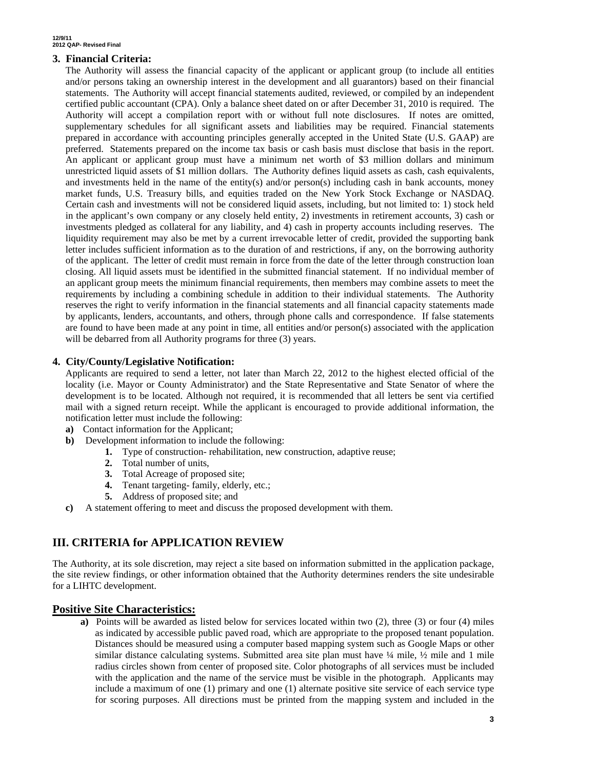#### **3. Financial Criteria:**

The Authority will assess the financial capacity of the applicant or applicant group (to include all entities and/or persons taking an ownership interest in the development and all guarantors) based on their financial statements. The Authority will accept financial statements audited, reviewed, or compiled by an independent certified public accountant (CPA). Only a balance sheet dated on or after December 31, 2010 is required. The Authority will accept a compilation report with or without full note disclosures. If notes are omitted, supplementary schedules for all significant assets and liabilities may be required. Financial statements prepared in accordance with accounting principles generally accepted in the United State (U.S. GAAP) are preferred. Statements prepared on the income tax basis or cash basis must disclose that basis in the report. An applicant or applicant group must have a minimum net worth of \$3 million dollars and minimum unrestricted liquid assets of \$1 million dollars. The Authority defines liquid assets as cash, cash equivalents, and investments held in the name of the entity(s) and/or person(s) including cash in bank accounts, money market funds, U.S. Treasury bills, and equities traded on the New York Stock Exchange or NASDAQ. Certain cash and investments will not be considered liquid assets, including, but not limited to: 1) stock held in the applicant's own company or any closely held entity, 2) investments in retirement accounts, 3) cash or investments pledged as collateral for any liability, and 4) cash in property accounts including reserves. The liquidity requirement may also be met by a current irrevocable letter of credit, provided the supporting bank letter includes sufficient information as to the duration of and restrictions, if any, on the borrowing authority of the applicant. The letter of credit must remain in force from the date of the letter through construction loan closing. All liquid assets must be identified in the submitted financial statement. If no individual member of an applicant group meets the minimum financial requirements, then members may combine assets to meet the requirements by including a combining schedule in addition to their individual statements. The Authority reserves the right to verify information in the financial statements and all financial capacity statements made by applicants, lenders, accountants, and others, through phone calls and correspondence. If false statements are found to have been made at any point in time, all entities and/or person(s) associated with the application will be debarred from all Authority programs for three (3) years.

#### **4. City/County/Legislative Notification:**

Applicants are required to send a letter, not later than March 22, 2012 to the highest elected official of the locality (i.e. Mayor or County Administrator) and the State Representative and State Senator of where the development is to be located. Although not required, it is recommended that all letters be sent via certified mail with a signed return receipt. While the applicant is encouraged to provide additional information, the notification letter must include the following:

- **a)** Contact information for the Applicant;
- **b)** Development information to include the following:
	- **1.** Type of construction- rehabilitation, new construction, adaptive reuse;
	- **2.** Total number of units,
	- **3.** Total Acreage of proposed site;
	- **4.** Tenant targeting- family, elderly, etc.;
	- **5.** Address of proposed site; and
- **c)** A statement offering to meet and discuss the proposed development with them.

# **III. CRITERIA for APPLICATION REVIEW**

The Authority, at its sole discretion, may reject a site based on information submitted in the application package, the site review findings, or other information obtained that the Authority determines renders the site undesirable for a LIHTC development.

#### **Positive Site Characteristics:**

**a)** Points will be awarded as listed below for services located within two (2), three (3) or four (4) miles as indicated by accessible public paved road, which are appropriate to the proposed tenant population. Distances should be measured using a computer based mapping system such as Google Maps or other similar distance calculating systems. Submitted area site plan must have  $\frac{1}{4}$  mile,  $\frac{1}{2}$  mile and 1 mile radius circles shown from center of proposed site. Color photographs of all services must be included with the application and the name of the service must be visible in the photograph. Applicants may include a maximum of one (1) primary and one (1) alternate positive site service of each service type for scoring purposes. All directions must be printed from the mapping system and included in the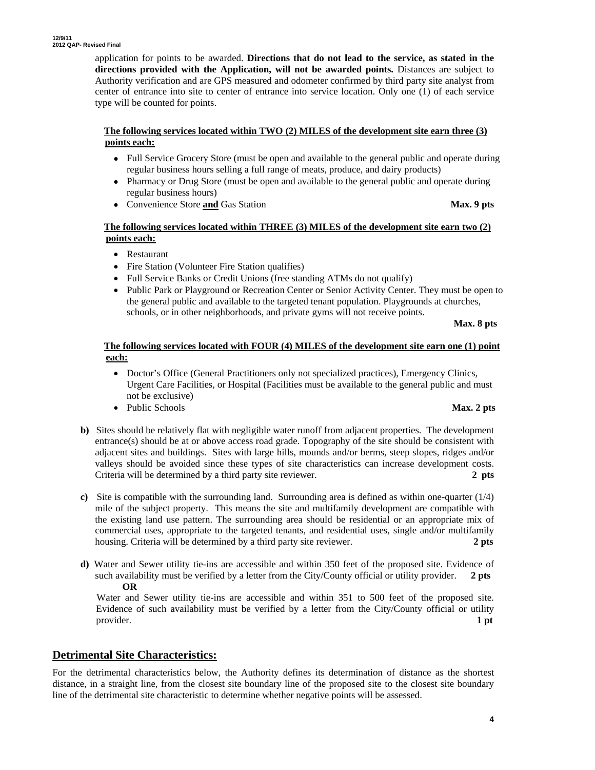application for points to be awarded. **Directions that do not lead to the service, as stated in the directions provided with the Application, will not be awarded points.** Distances are subject to Authority verification and are GPS measured and odometer confirmed by third party site analyst from center of entrance into site to center of entrance into service location. Only one (1) of each service type will be counted for points.

#### **The following services located within TWO (2) MILES of the development site earn three (3) points each:**

- Full Service Grocery Store (must be open and available to the general public and operate during regular business hours selling a full range of meats, produce, and dairy products)
- Pharmacy or Drug Store (must be open and available to the general public and operate during regular business hours)
- Convenience Store **and** Gas Station **Max. 9 pts**

#### **The following services located within THREE (3) MILES of the development site earn two (2) points each:**

- Restaurant
- Fire Station (Volunteer Fire Station qualifies)
- Full Service Banks or Credit Unions (free standing ATMs do not qualify)
- Public Park or Playground or Recreation Center or Senior Activity Center. They must be open to the general public and available to the targeted tenant population. Playgrounds at churches, schools, or in other neighborhoods, and private gyms will not receive points.

#### **Max. 8 pts**

#### **The following services located with FOUR (4) MILES of the development site earn one (1) point each:**

- Doctor's Office (General Practitioners only not specialized practices), Emergency Clinics, Urgent Care Facilities, or Hospital (Facilities must be available to the general public and must not be exclusive)
- Public Schools **Max. 2 pts**

- **b)** Sites should be relatively flat with negligible water runoff from adjacent properties. The development entrance(s) should be at or above access road grade. Topography of the site should be consistent with adjacent sites and buildings. Sites with large hills, mounds and/or berms, steep slopes, ridges and/or valleys should be avoided since these types of site characteristics can increase development costs. Criteria will be determined by a third party site reviewer. **2 pts**
- **c)** Site is compatible with the surrounding land. Surrounding area is defined as within one-quarter (1/4) mile of the subject property. This means the site and multifamily development are compatible with the existing land use pattern. The surrounding area should be residential or an appropriate mix of commercial uses, appropriate to the targeted tenants, and residential uses, single and/or multifamily housing. Criteria will be determined by a third party site reviewer. **2 pts**
- **d)** Water and Sewer utility tie-ins are accessible and within 350 feet of the proposed site. Evidence of such availability must be verified by a letter from the City/County official or utility provider. **2 pts OR**

 Water and Sewer utility tie-ins are accessible and within 351 to 500 feet of the proposed site. Evidence of such availability must be verified by a letter from the City/County official or utility provider. **1 pt 1** 

# **Detrimental Site Characteristics:**

For the detrimental characteristics below, the Authority defines its determination of distance as the shortest distance, in a straight line, from the closest site boundary line of the proposed site to the closest site boundary line of the detrimental site characteristic to determine whether negative points will be assessed.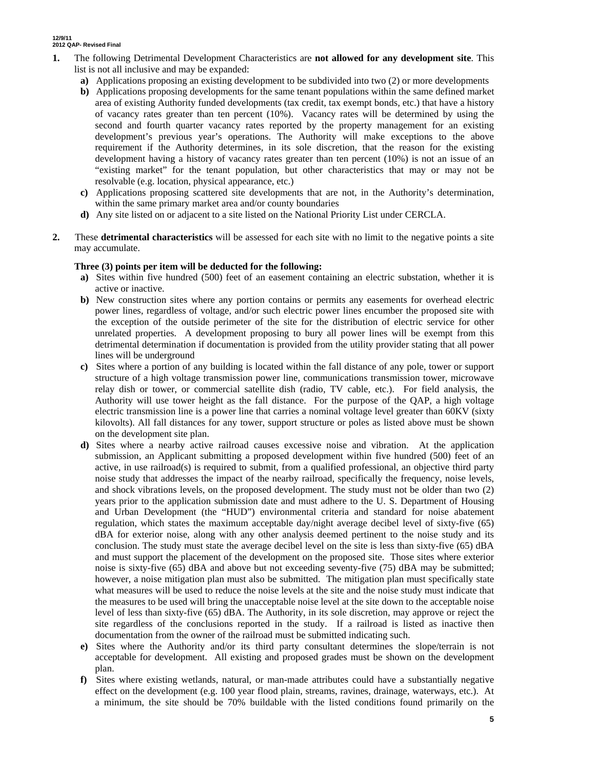- **1.** The following Detrimental Development Characteristics are **not allowed for any development site**. This list is not all inclusive and may be expanded:
	- **a)** Applications proposing an existing development to be subdivided into two (2) or more developments
	- **b)** Applications proposing developments for the same tenant populations within the same defined market area of existing Authority funded developments (tax credit, tax exempt bonds, etc.) that have a history of vacancy rates greater than ten percent (10%). Vacancy rates will be determined by using the second and fourth quarter vacancy rates reported by the property management for an existing development's previous year's operations. The Authority will make exceptions to the above requirement if the Authority determines, in its sole discretion, that the reason for the existing development having a history of vacancy rates greater than ten percent (10%) is not an issue of an "existing market" for the tenant population, but other characteristics that may or may not be resolvable (e.g. location, physical appearance, etc.)
	- **c)** Applications proposing scattered site developments that are not, in the Authority's determination, within the same primary market area and/or county boundaries
	- **d)** Any site listed on or adjacent to a site listed on the National Priority List under CERCLA.
- **2.** These **detrimental characteristics** will be assessed for each site with no limit to the negative points a site may accumulate.

#### **Three (3) points per item will be deducted for the following:**

- **a)** Sites within five hundred (500) feet of an easement containing an electric substation, whether it is active or inactive.
- **b)** New construction sites where any portion contains or permits any easements for overhead electric power lines, regardless of voltage, and/or such electric power lines encumber the proposed site with the exception of the outside perimeter of the site for the distribution of electric service for other unrelated properties. A development proposing to bury all power lines will be exempt from this detrimental determination if documentation is provided from the utility provider stating that all power lines will be underground
- **c)** Sites where a portion of any building is located within the fall distance of any pole, tower or support structure of a high voltage transmission power line, communications transmission tower, microwave relay dish or tower, or commercial satellite dish (radio, TV cable, etc.). For field analysis, the Authority will use tower height as the fall distance. For the purpose of the QAP, a high voltage electric transmission line is a power line that carries a nominal voltage level greater than 60KV (sixty kilovolts). All fall distances for any tower, support structure or poles as listed above must be shown on the development site plan.
- **d)** Sites where a nearby active railroad causes excessive noise and vibration. At the application submission, an Applicant submitting a proposed development within five hundred (500) feet of an active, in use railroad(s) is required to submit, from a qualified professional, an objective third party noise study that addresses the impact of the nearby railroad, specifically the frequency, noise levels, and shock vibrations levels, on the proposed development. The study must not be older than two (2) years prior to the application submission date and must adhere to the U. S. Department of Housing and Urban Development (the "HUD") environmental criteria and standard for noise abatement regulation, which states the maximum acceptable day/night average decibel level of sixty-five (65) dBA for exterior noise, along with any other analysis deemed pertinent to the noise study and its conclusion. The study must state the average decibel level on the site is less than sixty-five (65) dBA and must support the placement of the development on the proposed site. Those sites where exterior noise is sixty-five (65) dBA and above but not exceeding seventy-five (75) dBA may be submitted; however, a noise mitigation plan must also be submitted. The mitigation plan must specifically state what measures will be used to reduce the noise levels at the site and the noise study must indicate that the measures to be used will bring the unacceptable noise level at the site down to the acceptable noise level of less than sixty-five (65) dBA. The Authority, in its sole discretion, may approve or reject the site regardless of the conclusions reported in the study. If a railroad is listed as inactive then documentation from the owner of the railroad must be submitted indicating such.
- **e)** Sites where the Authority and/or its third party consultant determines the slope/terrain is not acceptable for development. All existing and proposed grades must be shown on the development plan.
- **f)** Sites where existing wetlands, natural, or man-made attributes could have a substantially negative effect on the development (e.g. 100 year flood plain, streams, ravines, drainage, waterways, etc.). At a minimum, the site should be 70% buildable with the listed conditions found primarily on the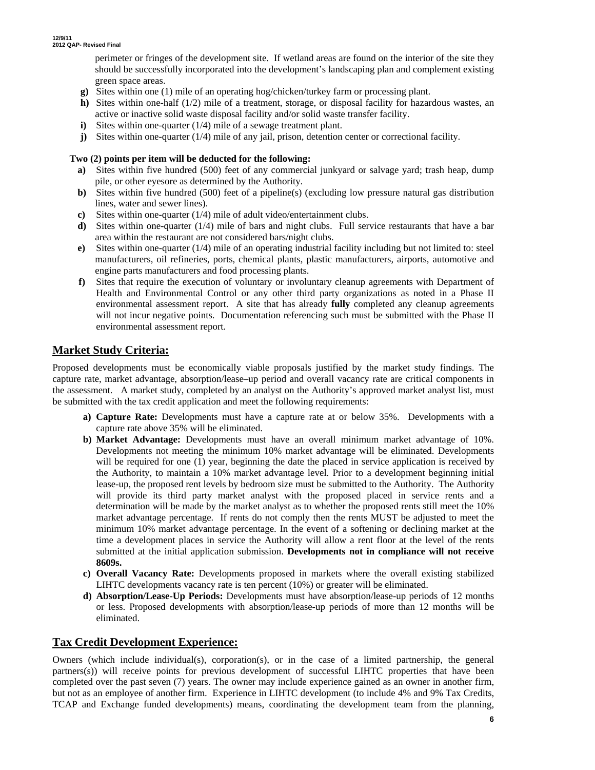perimeter or fringes of the development site. If wetland areas are found on the interior of the site they should be successfully incorporated into the development's landscaping plan and complement existing green space areas.

- **g)** Sites within one (1) mile of an operating hog/chicken/turkey farm or processing plant.
- **h)** Sites within one-half (1/2) mile of a treatment, storage, or disposal facility for hazardous wastes, an active or inactive solid waste disposal facility and/or solid waste transfer facility.
- **i**) Sites within one-quarter (1/4) mile of a sewage treatment plant.
- **j)** Sites within one-quarter (1/4) mile of any jail, prison, detention center or correctional facility.

#### **Two (2) points per item will be deducted for the following:**

- **a)** Sites within five hundred (500) feet of any commercial junkyard or salvage yard; trash heap, dump pile, or other eyesore as determined by the Authority.
- **b)** Sites within five hundred (500) feet of a pipeline(s) (excluding low pressure natural gas distribution lines, water and sewer lines).
- **c)** Sites within one-quarter (1/4) mile of adult video/entertainment clubs.
- **d)** Sites within one-quarter (1/4) mile of bars and night clubs. Full service restaurants that have a bar area within the restaurant are not considered bars/night clubs.
- **e)** Sites within one-quarter (1/4) mile of an operating industrial facility including but not limited to: steel manufacturers, oil refineries, ports, chemical plants, plastic manufacturers, airports, automotive and engine parts manufacturers and food processing plants.
- **f)** Sites that require the execution of voluntary or involuntary cleanup agreements with Department of Health and Environmental Control or any other third party organizations as noted in a Phase II environmental assessment report. A site that has already **fully** completed any cleanup agreements will not incur negative points. Documentation referencing such must be submitted with the Phase II environmental assessment report.

# **Market Study Criteria:**

Proposed developments must be economically viable proposals justified by the market study findings. The capture rate, market advantage, absorption/lease–up period and overall vacancy rate are critical components in the assessment. A market study, completed by an analyst on the Authority's approved market analyst list, must be submitted with the tax credit application and meet the following requirements:

- **a) Capture Rate:** Developments must have a capture rate at or below 35%. Developments with a capture rate above 35% will be eliminated.
- **b) Market Advantage:** Developments must have an overall minimum market advantage of 10%. Developments not meeting the minimum 10% market advantage will be eliminated. Developments will be required for one (1) year, beginning the date the placed in service application is received by the Authority, to maintain a 10% market advantage level. Prior to a development beginning initial lease-up, the proposed rent levels by bedroom size must be submitted to the Authority. The Authority will provide its third party market analyst with the proposed placed in service rents and a determination will be made by the market analyst as to whether the proposed rents still meet the 10% market advantage percentage. If rents do not comply then the rents MUST be adjusted to meet the minimum 10% market advantage percentage. In the event of a softening or declining market at the time a development places in service the Authority will allow a rent floor at the level of the rents submitted at the initial application submission. **Developments not in compliance will not receive 8609s.**
- **c) Overall Vacancy Rate:** Developments proposed in markets where the overall existing stabilized LIHTC developments vacancy rate is ten percent (10%) or greater will be eliminated.
- **d) Absorption/Lease-Up Periods:** Developments must have absorption/lease-up periods of 12 months or less. Proposed developments with absorption/lease-up periods of more than 12 months will be eliminated.

# **Tax Credit Development Experience:**

Owners (which include individual(s), corporation(s), or in the case of a limited partnership, the general partners(s)) will receive points for previous development of successful LIHTC properties that have been completed over the past seven (7) years. The owner may include experience gained as an owner in another firm, but not as an employee of another firm. Experience in LIHTC development (to include 4% and 9% Tax Credits, TCAP and Exchange funded developments) means, coordinating the development team from the planning,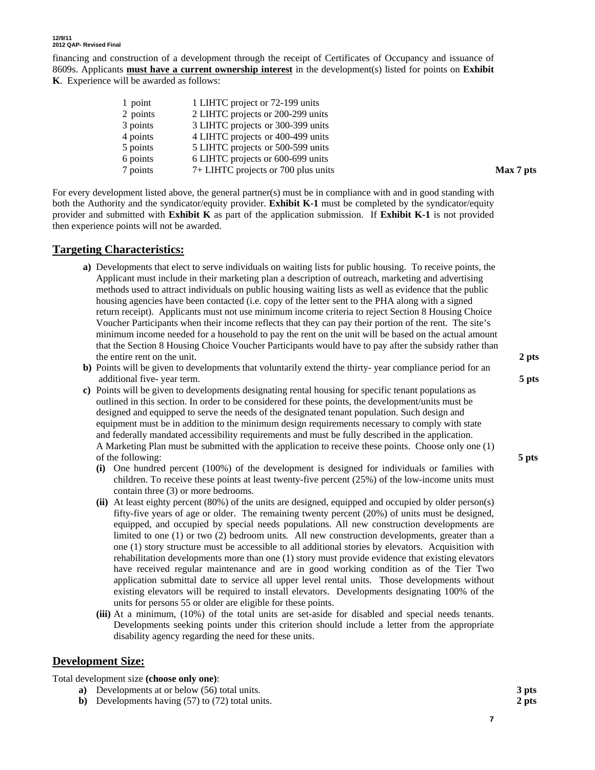financing and construction of a development through the receipt of Certificates of Occupancy and issuance of 8609s. Applicants **must have a current ownership interest** in the development(s) listed for points on **Exhibit K**. Experience will be awarded as follows:

| 1 point  | 1 LIHTC project or 72-199 units     |
|----------|-------------------------------------|
| 2 points | 2 LIHTC projects or 200-299 units   |
| 3 points | 3 LIHTC projects or 300-399 units   |
| 4 points | 4 LIHTC projects or 400-499 units   |
| 5 points | 5 LIHTC projects or 500-599 units   |
| 6 points | 6 LIHTC projects or 600-699 units   |
| 7 points | 7+ LIHTC projects or 700 plus units |

For every development listed above, the general partner(s) must be in compliance with and in good standing with both the Authority and the syndicator/equity provider. **Exhibit K-1** must be completed by the syndicator/equity provider and submitted with **Exhibit K** as part of the application submission. If **Exhibit K-1** is not provided then experience points will not be awarded.

# **Targeting Characteristics:**

- **a)** Developments that elect to serve individuals on waiting lists for public housing. To receive points, the Applicant must include in their marketing plan a description of outreach, marketing and advertising methods used to attract individuals on public housing waiting lists as well as evidence that the public housing agencies have been contacted (i.e. copy of the letter sent to the PHA along with a signed return receipt). Applicants must not use minimum income criteria to reject Section 8 Housing Choice Voucher Participants when their income reflects that they can pay their portion of the rent. The site's minimum income needed for a household to pay the rent on the unit will be based on the actual amount that the Section 8 Housing Choice Voucher Participants would have to pay after the subsidy rather than the entire rent on the unit. **2 pts**
- **b)** Points will be given to developments that voluntarily extend the thirty- year compliance period for an additional five- year term. **5 pts**
- **c)** Points will be given to developments designating rental housing for specific tenant populations as outlined in this section. In order to be considered for these points, the development/units must be designed and equipped to serve the needs of the designated tenant population. Such design and equipment must be in addition to the minimum design requirements necessary to comply with state and federally mandated accessibility requirements and must be fully described in the application. A Marketing Plan must be submitted with the application to receive these points. Choose only one (1) of the following: **5 pts**
	- **(i)** One hundred percent (100%) of the development is designed for individuals or families with children. To receive these points at least twenty-five percent (25%) of the low-income units must contain three (3) or more bedrooms.
	- **(ii)** At least eighty percent (80%) of the units are designed, equipped and occupied by older person(s) fifty-five years of age or older. The remaining twenty percent (20%) of units must be designed, equipped, and occupied by special needs populations. All new construction developments are limited to one (1) or two (2) bedroom units*.* All new construction developments, greater than a one (1) story structure must be accessible to all additional stories by elevators. Acquisition with rehabilitation developments more than one (1) story must provide evidence that existing elevators have received regular maintenance and are in good working condition as of the Tier Two application submittal date to service all upper level rental units. Those developments without existing elevators will be required to install elevators. Developments designating 100% of the units for persons 55 or older are eligible for these points.
	- **(iii)** At a minimum, (10%) of the total units are set-aside for disabled and special needs tenants. Developments seeking points under this criterion should include a letter from the appropriate disability agency regarding the need for these units.

#### **Development Size:**

#### Total development size **(choose only one)**:

- **a)** Developments at or below (56) total units. **3 pts**
- **b)** Developments having (57) to (72) total units. **2 pts**

 $Max 7<sub>pts</sub>$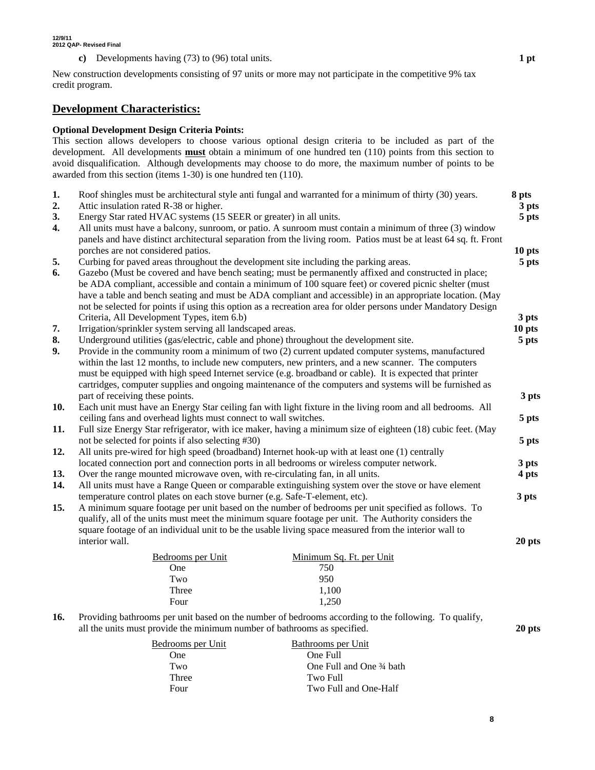**c)** Developments having (73) to (96) total units. **1 pt**

New construction developments consisting of 97 units or more may not participate in the competitive 9% tax credit program.

#### **Development Characteristics:**

#### **Optional Development Design Criteria Points:**

This section allows developers to choose various optional design criteria to be included as part of the development. All developments **must** obtain a minimum of one hundred ten (110) points from this section to avoid disqualification. Although developments may choose to do more, the maximum number of points to be awarded from this section (items 1-30) is one hundred ten (110).

| 1.<br>2.         | Roof shingles must be architectural style anti fungal and warranted for a minimum of thirty (30) years.<br>8 pts<br>Attic insulation rated R-38 or higher.                                                                                                                                                                                                                                                                                                                                                                            |  |                            |  |  |  |  |
|------------------|---------------------------------------------------------------------------------------------------------------------------------------------------------------------------------------------------------------------------------------------------------------------------------------------------------------------------------------------------------------------------------------------------------------------------------------------------------------------------------------------------------------------------------------|--|----------------------------|--|--|--|--|
| 3.               | Energy Star rated HVAC systems (15 SEER or greater) in all units.                                                                                                                                                                                                                                                                                                                                                                                                                                                                     |  |                            |  |  |  |  |
| $\overline{4}$ . | All units must have a balcony, sunroom, or patio. A sunroom must contain a minimum of three (3) window<br>panels and have distinct architectural separation from the living room. Patios must be at least 64 sq. ft. Front                                                                                                                                                                                                                                                                                                            |  |                            |  |  |  |  |
|                  | porches are not considered patios.                                                                                                                                                                                                                                                                                                                                                                                                                                                                                                    |  | 10 <sub>pts</sub><br>5 pts |  |  |  |  |
| 5.<br>6.         | Curbing for paved areas throughout the development site including the parking areas.<br>Gazebo (Must be covered and have bench seating; must be permanently affixed and constructed in place;<br>be ADA compliant, accessible and contain a minimum of 100 square feet) or covered picnic shelter (must<br>have a table and bench seating and must be ADA compliant and accessible) in an appropriate location. (May<br>not be selected for points if using this option as a recreation area for older persons under Mandatory Design |  |                            |  |  |  |  |
|                  | Criteria, All Development Types, item 6.b)                                                                                                                                                                                                                                                                                                                                                                                                                                                                                            |  | 3 pts                      |  |  |  |  |
| 7.               | Irrigation/sprinkler system serving all landscaped areas.                                                                                                                                                                                                                                                                                                                                                                                                                                                                             |  | 10 pts                     |  |  |  |  |
| 8.               | Underground utilities (gas/electric, cable and phone) throughout the development site.                                                                                                                                                                                                                                                                                                                                                                                                                                                |  | 5 pts                      |  |  |  |  |
| 9.               | Provide in the community room a minimum of two (2) current updated computer systems, manufactured<br>within the last 12 months, to include new computers, new printers, and a new scanner. The computers<br>must be equipped with high speed Internet service (e.g. broadband or cable). It is expected that printer<br>cartridges, computer supplies and ongoing maintenance of the computers and systems will be furnished as                                                                                                       |  |                            |  |  |  |  |
|                  | part of receiving these points.                                                                                                                                                                                                                                                                                                                                                                                                                                                                                                       |  | 3 pts                      |  |  |  |  |
| 10.              | Each unit must have an Energy Star ceiling fan with light fixture in the living room and all bedrooms. All                                                                                                                                                                                                                                                                                                                                                                                                                            |  |                            |  |  |  |  |
| 11.              | ceiling fans and overhead lights must connect to wall switches.<br>Full size Energy Star refrigerator, with ice maker, having a minimum size of eighteen (18) cubic feet. (May                                                                                                                                                                                                                                                                                                                                                        |  | 5 pts                      |  |  |  |  |
|                  | not be selected for points if also selecting #30)                                                                                                                                                                                                                                                                                                                                                                                                                                                                                     |  | 5 pts                      |  |  |  |  |
| 12.              | All units pre-wired for high speed (broadband) Internet hook-up with at least one (1) centrally                                                                                                                                                                                                                                                                                                                                                                                                                                       |  |                            |  |  |  |  |
| 13.              | located connection port and connection ports in all bedrooms or wireless computer network.<br>Over the range mounted microwave oven, with re-circulating fan, in all units.                                                                                                                                                                                                                                                                                                                                                           |  | 3 pts<br>4 pts             |  |  |  |  |
| 14.              | All units must have a Range Queen or comparable extinguishing system over the stove or have element                                                                                                                                                                                                                                                                                                                                                                                                                                   |  |                            |  |  |  |  |
|                  | temperature control plates on each stove burner (e.g. Safe-T-element, etc).                                                                                                                                                                                                                                                                                                                                                                                                                                                           |  |                            |  |  |  |  |
| 15.              | A minimum square footage per unit based on the number of bedrooms per unit specified as follows. To<br>qualify, all of the units must meet the minimum square footage per unit. The Authority considers the<br>square footage of an individual unit to be the usable living space measured from the interior wall to                                                                                                                                                                                                                  |  |                            |  |  |  |  |
|                  | interior wall.                                                                                                                                                                                                                                                                                                                                                                                                                                                                                                                        |  | 20 pts                     |  |  |  |  |
|                  | Minimum Sq. Ft. per Unit<br>Bedrooms per Unit                                                                                                                                                                                                                                                                                                                                                                                                                                                                                         |  |                            |  |  |  |  |
|                  | 750<br>One                                                                                                                                                                                                                                                                                                                                                                                                                                                                                                                            |  |                            |  |  |  |  |
|                  | 950<br>Two                                                                                                                                                                                                                                                                                                                                                                                                                                                                                                                            |  |                            |  |  |  |  |
|                  | Three<br>1,100                                                                                                                                                                                                                                                                                                                                                                                                                                                                                                                        |  |                            |  |  |  |  |
|                  | 1,250<br>Four                                                                                                                                                                                                                                                                                                                                                                                                                                                                                                                         |  |                            |  |  |  |  |
| 16.              | Providing bathrooms per unit based on the number of bedrooms according to the following. To qualify,<br>all the units must provide the minimum number of bathrooms as specified.                                                                                                                                                                                                                                                                                                                                                      |  |                            |  |  |  |  |
|                  | Bedrooms per Unit<br>Bathrooms per Unit                                                                                                                                                                                                                                                                                                                                                                                                                                                                                               |  |                            |  |  |  |  |
|                  | One Full<br>One                                                                                                                                                                                                                                                                                                                                                                                                                                                                                                                       |  |                            |  |  |  |  |
|                  | Two<br>One Full and One 34 bath                                                                                                                                                                                                                                                                                                                                                                                                                                                                                                       |  |                            |  |  |  |  |

Three Two Full

Four Two Full and One-Half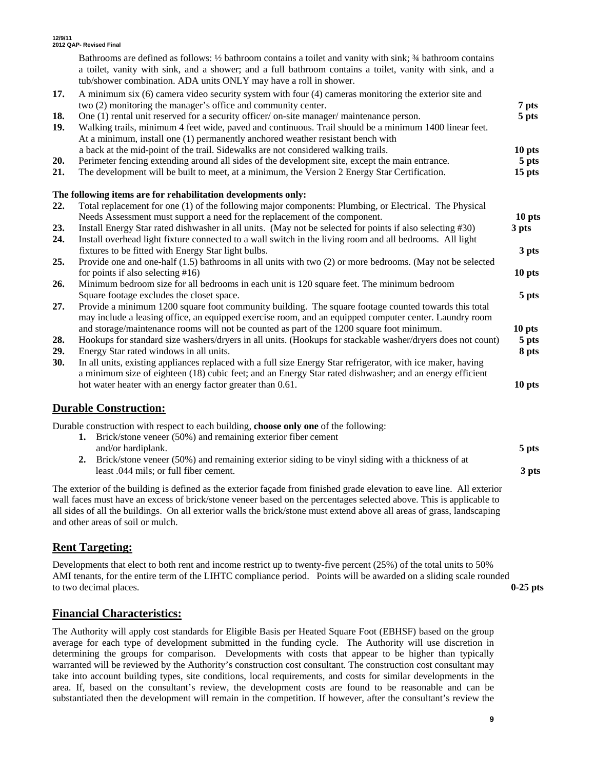|            | Bathrooms are defined as follows: 1/2 bathroom contains a toilet and vanity with sink; 3/4 bathroom contains<br>a toilet, vanity with sink, and a shower; and a full bathroom contains a toilet, vanity with sink, and a<br>tub/shower combination. ADA units ONLY may have a roll in shower. |                   |
|------------|-----------------------------------------------------------------------------------------------------------------------------------------------------------------------------------------------------------------------------------------------------------------------------------------------|-------------------|
| 17.        | A minimum six (6) camera video security system with four (4) cameras monitoring the exterior site and<br>two (2) monitoring the manager's office and community center.                                                                                                                        | 7 pts             |
| 18.<br>19. | One (1) rental unit reserved for a security officer/on-site manager/maintenance person.<br>Walking trails, minimum 4 feet wide, paved and continuous. Trail should be a minimum 1400 linear feet.<br>At a minimum, install one (1) permanently anchored weather resistant bench with          | 5 pts             |
|            | a back at the mid-point of the trail. Sidewalks are not considered walking trails.                                                                                                                                                                                                            | 10 pts            |
| 20.        | Perimeter fencing extending around all sides of the development site, except the main entrance.                                                                                                                                                                                               | 5 pts             |
| 21.        | The development will be built to meet, at a minimum, the Version 2 Energy Star Certification.                                                                                                                                                                                                 | 15 <sub>pts</sub> |
|            | The following items are for rehabilitation developments only:                                                                                                                                                                                                                                 |                   |
| 22.        | Total replacement for one (1) of the following major components: Plumbing, or Electrical. The Physical                                                                                                                                                                                        |                   |
|            | Needs Assessment must support a need for the replacement of the component.                                                                                                                                                                                                                    | 10 pts            |
| 23.        | Install Energy Star rated dishwasher in all units. (May not be selected for points if also selecting #30)                                                                                                                                                                                     | 3 pts             |
| 24.        | Install overhead light fixture connected to a wall switch in the living room and all bedrooms. All light                                                                                                                                                                                      |                   |
|            | fixtures to be fitted with Energy Star light bulbs.                                                                                                                                                                                                                                           | 3 pts             |
| 25.        | Provide one and one-half $(1.5)$ bathrooms in all units with two $(2)$ or more bedrooms. (May not be selected                                                                                                                                                                                 |                   |
|            | for points if also selecting $#16$ )                                                                                                                                                                                                                                                          | 10 pts            |
| 26.        | Minimum bedroom size for all bedrooms in each unit is 120 square feet. The minimum bedroom                                                                                                                                                                                                    |                   |
|            | Square footage excludes the closet space.                                                                                                                                                                                                                                                     | 5 pts             |
| 27.        | Provide a minimum 1200 square foot community building. The square footage counted towards this total<br>may include a leasing office, an equipped exercise room, and an equipped computer center. Laundry room                                                                                |                   |
|            | and storage/maintenance rooms will not be counted as part of the 1200 square foot minimum.                                                                                                                                                                                                    | 10 <sub>pts</sub> |
| 28.        | Hookups for standard size washers/dryers in all units. (Hookups for stackable washer/dryers does not count)                                                                                                                                                                                   | 5 pts             |
| 29.        | Energy Star rated windows in all units.                                                                                                                                                                                                                                                       | 8 pts             |
| 30.        | In all units, existing appliances replaced with a full size Energy Star refrigerator, with ice maker, having<br>a minimum size of eighteen (18) cubic feet; and an Energy Star rated dishwasher; and an energy efficient                                                                      |                   |
|            | hot water heater with an energy factor greater than 0.61.                                                                                                                                                                                                                                     | 10 pts            |
|            |                                                                                                                                                                                                                                                                                               |                   |

# **Durable Construction:**

Durable construction with respect to each building, **choose only one** of the following:

**1.** Brick/stone veneer (50%) and remaining exterior fiber cement and/or hardiplank. **5 pts 2.** Brick/stone veneer (50%) and remaining exterior siding to be vinyl siding with a thickness of at

 least .044 mils; or full fiber cement. **3 pts**  The exterior of the building is defined as the exterior façade from finished grade elevation to eave line. All exterior wall faces must have an excess of brick/stone veneer based on the percentages selected above. This is applicable to all sides of all the buildings. On all exterior walls the brick/stone must extend above all areas of grass, landscaping

# **Rent Targeting:**

Developments that elect to both rent and income restrict up to twenty-five percent (25%) of the total units to 50% AMI tenants, for the entire term of the LIHTC compliance period. Points will be awarded on a sliding scale rounded to two decimal places. **0-25 pts**

# **Financial Characteristics:**

and other areas of soil or mulch.

The Authority will apply cost standards for Eligible Basis per Heated Square Foot (EBHSF) based on the group average for each type of development submitted in the funding cycle. The Authority will use discretion in determining the groups for comparison. Developments with costs that appear to be higher than typically warranted will be reviewed by the Authority's construction cost consultant. The construction cost consultant may take into account building types, site conditions, local requirements, and costs for similar developments in the area. If, based on the consultant's review, the development costs are found to be reasonable and can be substantiated then the development will remain in the competition. If however, after the consultant's review the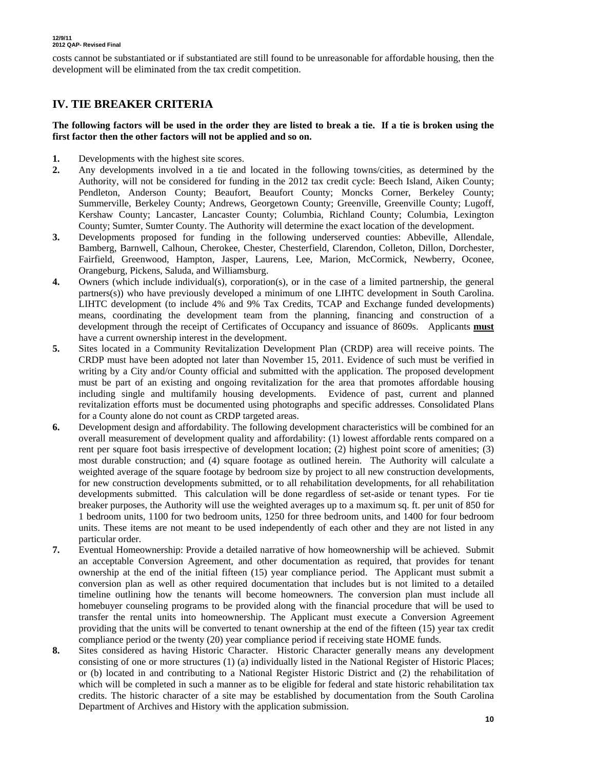costs cannot be substantiated or if substantiated are still found to be unreasonable for affordable housing, then the development will be eliminated from the tax credit competition.

# **IV. TIE BREAKER CRITERIA**

#### **The following factors will be used in the order they are listed to break a tie. If a tie is broken using the first factor then the other factors will not be applied and so on.**

- **1.** Developments with the highest site scores.
- **2.** Any developments involved in a tie and located in the following towns/cities, as determined by the Authority, will not be considered for funding in the 2012 tax credit cycle: Beech Island, Aiken County; Pendleton, Anderson County; Beaufort, Beaufort County; Moncks Corner, Berkeley County; Summerville, Berkeley County; Andrews, Georgetown County; Greenville, Greenville County; Lugoff, Kershaw County; Lancaster, Lancaster County; Columbia, Richland County; Columbia, Lexington County; Sumter, Sumter County. The Authority will determine the exact location of the development.
- **3.** Developments proposed for funding in the following underserved counties: Abbeville, Allendale, Bamberg, Barnwell, Calhoun, Cherokee, Chester, Chesterfield, Clarendon, Colleton, Dillon, Dorchester, Fairfield, Greenwood, Hampton, Jasper, Laurens, Lee, Marion, McCormick, Newberry, Oconee, Orangeburg, Pickens, Saluda, and Williamsburg.
- **4.** Owners (which include individual(s), corporation(s), or in the case of a limited partnership, the general partners(s)) who have previously developed a minimum of one LIHTC development in South Carolina. LIHTC development (to include 4% and 9% Tax Credits, TCAP and Exchange funded developments) means, coordinating the development team from the planning, financing and construction of a development through the receipt of Certificates of Occupancy and issuance of 8609s. Applicants **must**  have a current ownership interest in the development.
- **5.** Sites located in a Community Revitalization Development Plan (CRDP) area will receive points. The CRDP must have been adopted not later than November 15, 2011. Evidence of such must be verified in writing by a City and/or County official and submitted with the application. The proposed development must be part of an existing and ongoing revitalization for the area that promotes affordable housing including single and multifamily housing developments. Evidence of past, current and planned revitalization efforts must be documented using photographs and specific addresses. Consolidated Plans for a County alone do not count as CRDP targeted areas.
- **6.** Development design and affordability. The following development characteristics will be combined for an overall measurement of development quality and affordability: (1) lowest affordable rents compared on a rent per square foot basis irrespective of development location; (2) highest point score of amenities; (3) most durable construction; and (4) square footage as outlined herein. The Authority will calculate a weighted average of the square footage by bedroom size by project to all new construction developments, for new construction developments submitted, or to all rehabilitation developments, for all rehabilitation developments submitted. This calculation will be done regardless of set-aside or tenant types. For tie breaker purposes, the Authority will use the weighted averages up to a maximum sq. ft. per unit of 850 for 1 bedroom units, 1100 for two bedroom units, 1250 for three bedroom units, and 1400 for four bedroom units. These items are not meant to be used independently of each other and they are not listed in any particular order.
- **7.** Eventual Homeownership: Provide a detailed narrative of how homeownership will be achieved. Submit an acceptable Conversion Agreement, and other documentation as required, that provides for tenant ownership at the end of the initial fifteen (15) year compliance period. The Applicant must submit a conversion plan as well as other required documentation that includes but is not limited to a detailed timeline outlining how the tenants will become homeowners. The conversion plan must include all homebuyer counseling programs to be provided along with the financial procedure that will be used to transfer the rental units into homeownership. The Applicant must execute a Conversion Agreement providing that the units will be converted to tenant ownership at the end of the fifteen (15) year tax credit compliance period or the twenty (20) year compliance period if receiving state HOME funds.
- **8.** Sites considered as having Historic Character. Historic Character generally means any development consisting of one or more structures (1) (a) individually listed in the National Register of Historic Places; or (b) located in and contributing to a National Register Historic District and (2) the rehabilitation of which will be completed in such a manner as to be eligible for federal and state historic rehabilitation tax credits. The historic character of a site may be established by documentation from the South Carolina Department of Archives and History with the application submission.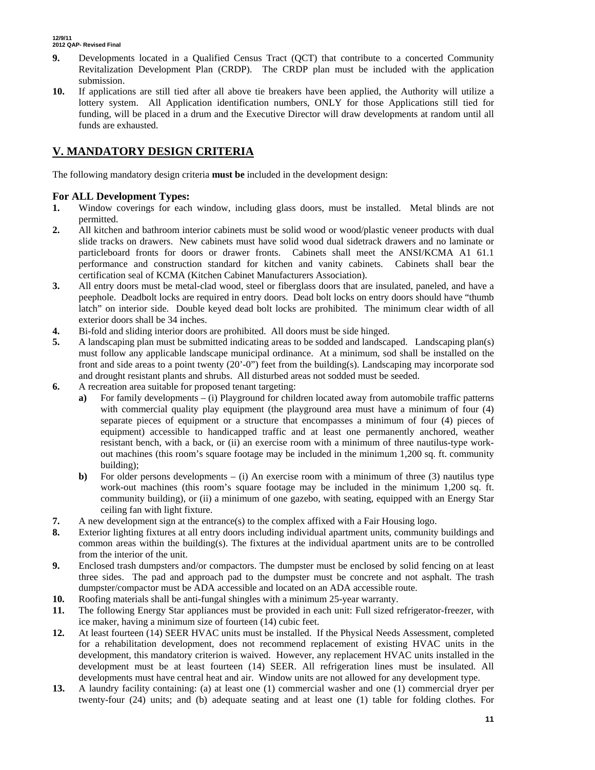- **9.** Developments located in a Qualified Census Tract (QCT) that contribute to a concerted Community Revitalization Development Plan (CRDP). The CRDP plan must be included with the application submission.
- **10.** If applications are still tied after all above tie breakers have been applied, the Authority will utilize a lottery system. All Application identification numbers, ONLY for those Applications still tied for funding, will be placed in a drum and the Executive Director will draw developments at random until all funds are exhausted.

# **V. MANDATORY DESIGN CRITERIA**

The following mandatory design criteria **must be** included in the development design:

#### **For ALL Development Types:**

- **1.** Window coverings for each window, including glass doors, must be installed. Metal blinds are not permitted.
- **2.** All kitchen and bathroom interior cabinets must be solid wood or wood/plastic veneer products with dual slide tracks on drawers. New cabinets must have solid wood dual sidetrack drawers and no laminate or particleboard fronts for doors or drawer fronts. Cabinets shall meet the ANSI/KCMA A1 61.1 performance and construction standard for kitchen and vanity cabinets. Cabinets shall bear the certification seal of KCMA (Kitchen Cabinet Manufacturers Association).
- **3.** All entry doors must be metal-clad wood, steel or fiberglass doors that are insulated, paneled, and have a peephole. Deadbolt locks are required in entry doors. Dead bolt locks on entry doors should have "thumb latch" on interior side. Double keyed dead bolt locks are prohibited. The minimum clear width of all exterior doors shall be 34 inches.
- **4.** Bi-fold and sliding interior doors are prohibited. All doors must be side hinged.
- **5.** A landscaping plan must be submitted indicating areas to be sodded and landscaped. Landscaping plan(s) must follow any applicable landscape municipal ordinance. At a minimum, sod shall be installed on the front and side areas to a point twenty (20'-0") feet from the building(s). Landscaping may incorporate sod and drought resistant plants and shrubs. All disturbed areas not sodded must be seeded.
- **6.** A recreation area suitable for proposed tenant targeting:
	- **a)** For family developments (i) Playground for children located away from automobile traffic patterns with commercial quality play equipment (the playground area must have a minimum of four (4) separate pieces of equipment or a structure that encompasses a minimum of four (4) pieces of equipment) accessible to handicapped traffic and at least one permanently anchored, weather resistant bench, with a back, or (ii) an exercise room with a minimum of three nautilus-type workout machines (this room's square footage may be included in the minimum 1,200 sq. ft. community building);
	- **b**) For older persons developments (i) An exercise room with a minimum of three (3) nautilus type work-out machines (this room's square footage may be included in the minimum 1,200 sq. ft. community building), or (ii) a minimum of one gazebo, with seating, equipped with an Energy Star ceiling fan with light fixture.
- **7.** A new development sign at the entrance(s) to the complex affixed with a Fair Housing logo.
- **8.** Exterior lighting fixtures at all entry doors including individual apartment units, community buildings and common areas within the building(s). The fixtures at the individual apartment units are to be controlled from the interior of the unit.
- **9.** Enclosed trash dumpsters and/or compactors. The dumpster must be enclosed by solid fencing on at least three sides. The pad and approach pad to the dumpster must be concrete and not asphalt. The trash dumpster/compactor must be ADA accessible and located on an ADA accessible route.
- **10.** Roofing materials shall be anti-fungal shingles with a minimum 25-year warranty.
- **11.** The following Energy Star appliances must be provided in each unit: Full sized refrigerator-freezer, with ice maker, having a minimum size of fourteen (14) cubic feet.
- **12.** At least fourteen (14) SEER HVAC units must be installed. If the Physical Needs Assessment, completed for a rehabilitation development, does not recommend replacement of existing HVAC units in the development, this mandatory criterion is waived. However, any replacement HVAC units installed in the development must be at least fourteen (14) SEER. All refrigeration lines must be insulated. All developments must have central heat and air. Window units are not allowed for any development type.
- **13.** A laundry facility containing: (a) at least one (1) commercial washer and one (1) commercial dryer per twenty-four (24) units; and (b) adequate seating and at least one (1) table for folding clothes. For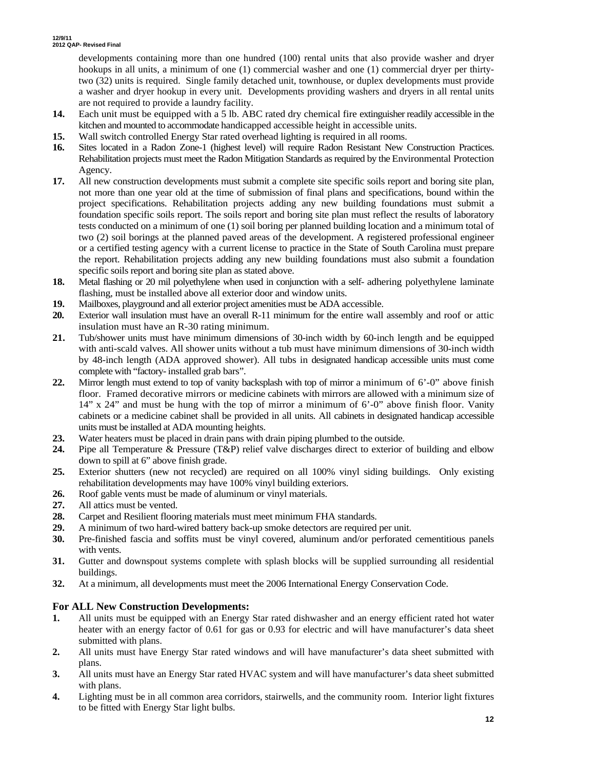developments containing more than one hundred (100) rental units that also provide washer and dryer hookups in all units, a minimum of one (1) commercial washer and one (1) commercial dryer per thirtytwo (32) units is required. Single family detached unit, townhouse, or duplex developments must provide a washer and dryer hookup in every unit. Developments providing washers and dryers in all rental units are not required to provide a laundry facility.

- **14.** Each unit must be equipped with a 5 lb. ABC rated dry chemical fire extinguisher readily accessible in the kitchen and mounted to accommodate handicapped accessible height in accessible units.
- **15.** Wall switch controlled Energy Star rated overhead lighting is required in all rooms.
- **16.** Sites located in a Radon Zone-1 (highest level) will require Radon Resistant New Construction Practices. Rehabilitation projects must meet the Radon Mitigation Standards as required by the Environmental Protection Agency.
- **17.** All new construction developments must submit a complete site specific soils report and boring site plan, not more than one year old at the time of submission of final plans and specifications, bound within the project specifications. Rehabilitation projects adding any new building foundations must submit a foundation specific soils report. The soils report and boring site plan must reflect the results of laboratory tests conducted on a minimum of one (1) soil boring per planned building location and a minimum total of two (2) soil borings at the planned paved areas of the development. A registered professional engineer or a certified testing agency with a current license to practice in the State of South Carolina must prepare the report. Rehabilitation projects adding any new building foundations must also submit a foundation specific soils report and boring site plan as stated above.
- **18.** Metal flashing or 20 mil polyethylene when used in conjunction with a self- adhering polyethylene laminate flashing, must be installed above all exterior door and window units.
- **19.** Mailboxes, playground and all exterior project amenities must be ADA accessible.
- **20.** Exterior wall insulation must have an overall R-11 minimum for the entire wall assembly and roof or attic insulation must have an R-30 rating minimum.
- **21.** Tub/shower units must have minimum dimensions of 30-inch width by 60-inch length and be equipped with anti-scald valves. All shower units without a tub must have minimum dimensions of 30-inch width by 48-inch length (ADA approved shower). All tubs in designated handicap accessible units must come complete with "factory- installed grab bars".
- **22.** Mirror length must extend to top of vanity backsplash with top of mirror a minimum of 6'-0" above finish floor. Framed decorative mirrors or medicine cabinets with mirrors are allowed with a minimum size of 14" x 24" and must be hung with the top of mirror a minimum of 6'-0" above finish floor. Vanity cabinets or a medicine cabinet shall be provided in all units. All cabinets in designated handicap accessible units must be installed at ADA mounting heights.
- **23.** Water heaters must be placed in drain pans with drain piping plumbed to the outside.
- **24.** Pipe all Temperature & Pressure (T&P) relief valve discharges direct to exterior of building and elbow down to spill at 6" above finish grade.
- **25.** Exterior shutters (new not recycled) are required on all 100% vinyl siding buildings. Only existing rehabilitation developments may have 100% vinyl building exteriors.
- **26.** Roof gable vents must be made of aluminum or vinyl materials.
- **27.** All attics must be vented.
- **28.** Carpet and Resilient flooring materials must meet minimum FHA standards.
- **29.** A minimum of two hard-wired battery back-up smoke detectors are required per unit.
- **30.** Pre-finished fascia and soffits must be vinyl covered, aluminum and/or perforated cementitious panels with vents.
- **31.** Gutter and downspout systems complete with splash blocks will be supplied surrounding all residential buildings.
- **32.** At a minimum, all developments must meet the 2006 International Energy Conservation Code.

#### **For ALL New Construction Developments:**

- **1.** All units must be equipped with an Energy Star rated dishwasher and an energy efficient rated hot water heater with an energy factor of 0.61 for gas or 0.93 for electric and will have manufacturer's data sheet submitted with plans.
- **2.** All units must have Energy Star rated windows and will have manufacturer's data sheet submitted with plans.
- **3.** All units must have an Energy Star rated HVAC system and will have manufacturer's data sheet submitted with plans.
- **4.** Lighting must be in all common area corridors, stairwells, and the community room. Interior light fixtures to be fitted with Energy Star light bulbs.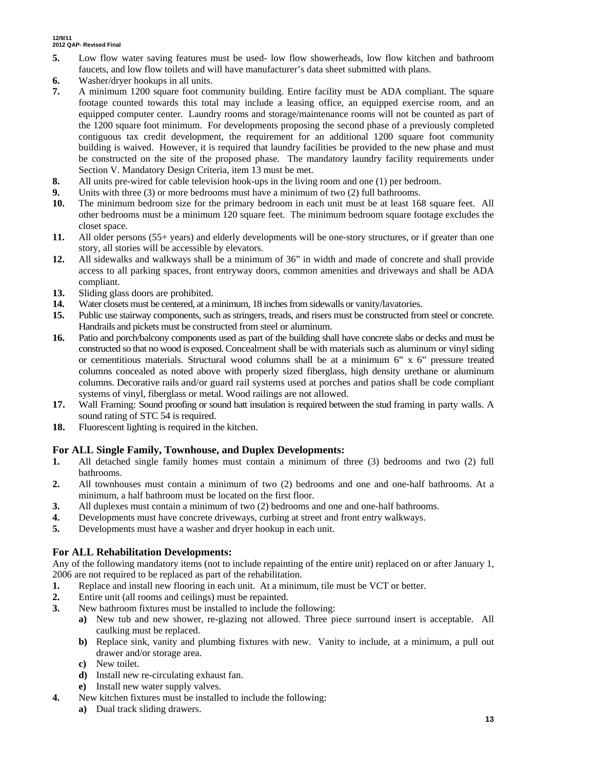- **5.** Low flow water saving features must be used- low flow showerheads, low flow kitchen and bathroom faucets, and low flow toilets and will have manufacturer's data sheet submitted with plans.
- **6.** Washer/dryer hookups in all units.
- **7.** A minimum 1200 square foot community building. Entire facility must be ADA compliant. The square footage counted towards this total may include a leasing office, an equipped exercise room, and an equipped computer center. Laundry rooms and storage/maintenance rooms will not be counted as part of the 1200 square foot minimum. For developments proposing the second phase of a previously completed contiguous tax credit development, the requirement for an additional 1200 square foot community building is waived. However, it is required that laundry facilities be provided to the new phase and must be constructed on the site of the proposed phase. The mandatory laundry facility requirements under Section V. Mandatory Design Criteria, item 13 must be met.
- **8.** All units pre-wired for cable television hook-ups in the living room and one (1) per bedroom.
- **9.** Units with three (3) or more bedrooms must have a minimum of two (2) full bathrooms.
- **10.** The minimum bedroom size for the primary bedroom in each unit must be at least 168 square feet. All other bedrooms must be a minimum 120 square feet. The minimum bedroom square footage excludes the closet space.
- **11.** All older persons (55+ years) and elderly developments will be one-story structures, or if greater than one story, all stories will be accessible by elevators.
- **12.** All sidewalks and walkways shall be a minimum of 36" in width and made of concrete and shall provide access to all parking spaces, front entryway doors, common amenities and driveways and shall be ADA compliant.
- **13.** Sliding glass doors are prohibited.
- **14.** Water closets must be centered, at a minimum, 18 inches from sidewalls or vanity/lavatories.
- **15.** Public use stairway components, such as stringers, treads, and risers must be constructed from steel or concrete. Handrails and pickets must be constructed from steel or aluminum.
- **16.** Patio and porch/balcony components used as part of the building shall have concrete slabs or decks and must be constructed so that no wood is exposed. Concealment shall be with materials such as aluminum or vinyl siding or cementitious materials. Structural wood columns shall be at a minimum 6" x 6" pressure treated columns concealed as noted above with properly sized fiberglass, high density urethane or aluminum columns. Decorative rails and/or guard rail systems used at porches and patios shall be code compliant systems of vinyl, fiberglass or metal. Wood railings are not allowed.
- **17.** Wall Framing: Sound proofing or sound batt insulation is required between the stud framing in party walls. A sound rating of STC 54 is required.
- **18.** Fluorescent lighting is required in the kitchen.

#### **For ALL Single Family, Townhouse, and Duplex Developments:**

- **1.** All detached single family homes must contain a minimum of three (3) bedrooms and two (2) full bathrooms.
- **2.** All townhouses must contain a minimum of two (2) bedrooms and one and one-half bathrooms. At a minimum, a half bathroom must be located on the first floor.
- **3.** All duplexes must contain a minimum of two (2) bedrooms and one and one-half bathrooms.
- **4.** Developments must have concrete driveways, curbing at street and front entry walkways.
- **5.** Developments must have a washer and dryer hookup in each unit.

#### **For ALL Rehabilitation Developments:**

Any of the following mandatory items (not to include repainting of the entire unit) replaced on or after January 1, 2006 are not required to be replaced as part of the rehabilitation.

- **1.** Replace and install new flooring in each unit. At a minimum, tile must be VCT or better.
- **2.** Entire unit (all rooms and ceilings) must be repainted.
- **3.** New bathroom fixtures must be installed to include the following:
	- **a)** New tub and new shower, re-glazing not allowed. Three piece surround insert is acceptable. All caulking must be replaced.
		- **b)** Replace sink, vanity and plumbing fixtures with new. Vanity to include, at a minimum, a pull out drawer and/or storage area.
		- **c)** New toilet.
		- **d)** Install new re-circulating exhaust fan.
		- **e)** Install new water supply valves.
- **4.** New kitchen fixtures must be installed to include the following:
	- **a)** Dual track sliding drawers.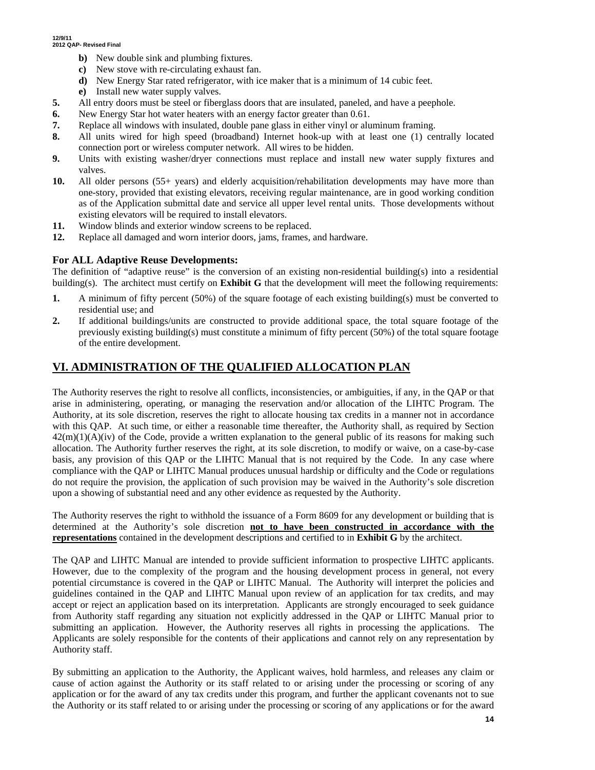- **b)** New double sink and plumbing fixtures.
- **c)** New stove with re-circulating exhaust fan.
- **d)** New Energy Star rated refrigerator, with ice maker that is a minimum of 14 cubic feet.
- **e)** Install new water supply valves.
- **5.** All entry doors must be steel or fiberglass doors that are insulated, paneled, and have a peephole.
- **6.** New Energy Star hot water heaters with an energy factor greater than 0.61.
- **7.** Replace all windows with insulated, double pane glass in either vinyl or aluminum framing.
- **8.** All units wired for high speed (broadband) Internet hook-up with at least one (1) centrally located connection port or wireless computer network. All wires to be hidden.
- **9.** Units with existing washer/dryer connections must replace and install new water supply fixtures and valves.
- **10.** All older persons (55+ years) and elderly acquisition/rehabilitation developments may have more than one-story, provided that existing elevators, receiving regular maintenance, are in good working condition as of the Application submittal date and service all upper level rental units. Those developments without existing elevators will be required to install elevators.
- **11.** Window blinds and exterior window screens to be replaced.
- **12.** Replace all damaged and worn interior doors, jams, frames, and hardware.

#### **For ALL Adaptive Reuse Developments:**

The definition of "adaptive reuse" is the conversion of an existing non-residential building(s) into a residential building(s). The architect must certify on **Exhibit G** that the development will meet the following requirements:

- **1.** A minimum of fifty percent (50%) of the square footage of each existing building(s) must be converted to residential use; and
- **2.** If additional buildings/units are constructed to provide additional space, the total square footage of the previously existing building(s) must constitute a minimum of fifty percent (50%) of the total square footage of the entire development.

# **VI. ADMINISTRATION OF THE QUALIFIED ALLOCATION PLAN**

The Authority reserves the right to resolve all conflicts, inconsistencies, or ambiguities, if any, in the QAP or that arise in administering, operating, or managing the reservation and/or allocation of the LIHTC Program. The Authority, at its sole discretion, reserves the right to allocate housing tax credits in a manner not in accordance with this QAP. At such time, or either a reasonable time thereafter, the Authority shall, as required by Section  $42(m)(1)(A)(iv)$  of the Code, provide a written explanation to the general public of its reasons for making such allocation. The Authority further reserves the right, at its sole discretion, to modify or waive, on a case-by-case basis, any provision of this QAP or the LIHTC Manual that is not required by the Code. In any case where compliance with the QAP or LIHTC Manual produces unusual hardship or difficulty and the Code or regulations do not require the provision, the application of such provision may be waived in the Authority's sole discretion upon a showing of substantial need and any other evidence as requested by the Authority.

The Authority reserves the right to withhold the issuance of a Form 8609 for any development or building that is determined at the Authority's sole discretion **not to have been constructed in accordance with the representations** contained in the development descriptions and certified to in **Exhibit G** by the architect.

The QAP and LIHTC Manual are intended to provide sufficient information to prospective LIHTC applicants. However, due to the complexity of the program and the housing development process in general, not every potential circumstance is covered in the QAP or LIHTC Manual. The Authority will interpret the policies and guidelines contained in the QAP and LIHTC Manual upon review of an application for tax credits, and may accept or reject an application based on its interpretation. Applicants are strongly encouraged to seek guidance from Authority staff regarding any situation not explicitly addressed in the QAP or LIHTC Manual prior to submitting an application. However, the Authority reserves all rights in processing the applications. The Applicants are solely responsible for the contents of their applications and cannot rely on any representation by Authority staff.

By submitting an application to the Authority, the Applicant waives, hold harmless, and releases any claim or cause of action against the Authority or its staff related to or arising under the processing or scoring of any application or for the award of any tax credits under this program, and further the applicant covenants not to sue the Authority or its staff related to or arising under the processing or scoring of any applications or for the award